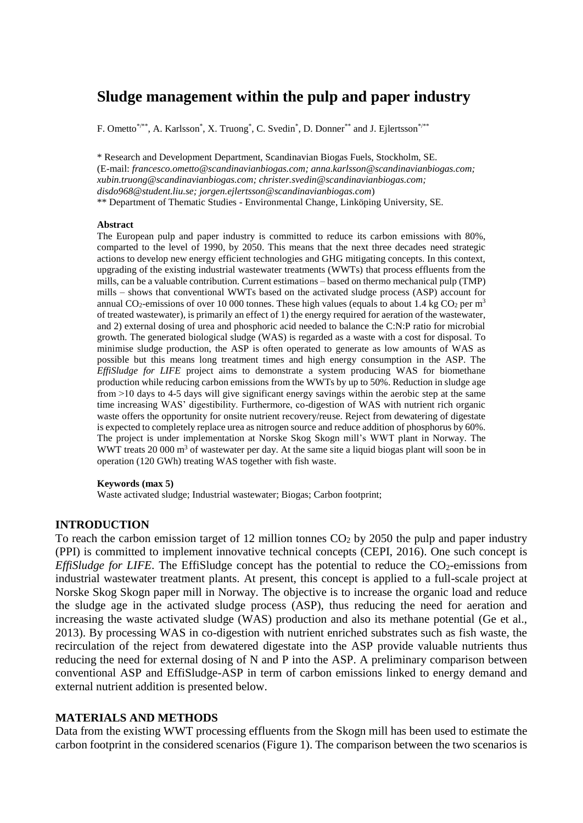# **Sludge management within the pulp and paper industry**

F. Ometto\*/\*\*, A. Karlsson\*, X. Truong\*, C. Svedin\*, D. Donner\*\* and J. Ejlertsson\*/\*\*

\* Research and Development Department, Scandinavian Biogas Fuels, Stockholm, SE. (E-mail: *francesco.ometto@scandinavianbiogas.com; anna.karlsson@scandinavianbiogas.com; xubin.truong@scandinavianbiogas.com; christer.svedin@scandinavianbiogas.com; disdo968@student.liu.se; jorgen.ejlertsson@scandinavianbiogas.com*) \*\* Department of Thematic Studies - Environmental Change, Linköping University, SE.

### **Abstract**

The European pulp and paper industry is committed to reduce its carbon emissions with 80%, comparted to the level of 1990, by 2050. This means that the next three decades need strategic actions to develop new energy efficient technologies and GHG mitigating concepts. In this context, upgrading of the existing industrial wastewater treatments (WWTs) that process effluents from the mills, can be a valuable contribution. Current estimations – based on thermo mechanical pulp (TMP) mills – shows that conventional WWTs based on the activated sludge process (ASP) account for annual CO<sub>2</sub>-emissions of over 10 000 tonnes. These high values (equals to about 1.4 kg CO<sub>2</sub> per m<sup>3</sup> of treated wastewater), is primarily an effect of 1) the energy required for aeration of the wastewater, and 2) external dosing of urea and phosphoric acid needed to balance the C:N:P ratio for microbial growth. The generated biological sludge (WAS) is regarded as a waste with a cost for disposal. To minimise sludge production, the ASP is often operated to generate as low amounts of WAS as possible but this means long treatment times and high energy consumption in the ASP. The *EffiSludge for LIFE* project aims to demonstrate a system producing WAS for biomethane production while reducing carbon emissions from the WWTs by up to 50%. Reduction in sludge age from  $>10$  days to 4-5 days will give significant energy savings within the aerobic step at the same time increasing WAS' digestibility. Furthermore, co-digestion of WAS with nutrient rich organic waste offers the opportunity for onsite nutrient recovery/reuse. Reject from dewatering of digestate is expected to completely replace urea as nitrogen source and reduce addition of phosphorus by 60%. The project is under implementation at Norske Skog Skogn mill's WWT plant in Norway. The WWT treats 20 000  $\text{m}^3$  of wastewater per day. At the same site a liquid biogas plant will soon be in operation (120 GWh) treating WAS together with fish waste.

#### **Keywords (max 5)**

Waste activated sludge; Industrial wastewater; Biogas; Carbon footprint;

# **INTRODUCTION**

To reach the carbon emission target of 12 million tonnes  $CO<sub>2</sub>$  by 2050 the pulp and paper industry (PPI) is committed to implement innovative technical concepts (CEPI, 2016). One such concept is *EffiSludge for LIFE*. The EffiSludge concept has the potential to reduce the CO<sub>2</sub>-emissions from industrial wastewater treatment plants. At present, this concept is applied to a full-scale project at Norske Skog Skogn paper mill in Norway. The objective is to increase the organic load and reduce the sludge age in the activated sludge process (ASP), thus reducing the need for aeration and increasing the waste activated sludge (WAS) production and also its methane potential (Ge et al., 2013). By processing WAS in co-digestion with nutrient enriched substrates such as fish waste, the recirculation of the reject from dewatered digestate into the ASP provide valuable nutrients thus reducing the need for external dosing of N and P into the ASP. A preliminary comparison between conventional ASP and EffiSludge-ASP in term of carbon emissions linked to energy demand and external nutrient addition is presented below.

# **MATERIALS AND METHODS**

Data from the existing WWT processing effluents from the Skogn mill has been used to estimate the carbon footprint in the considered scenarios (Figure 1). The comparison between the two scenarios is